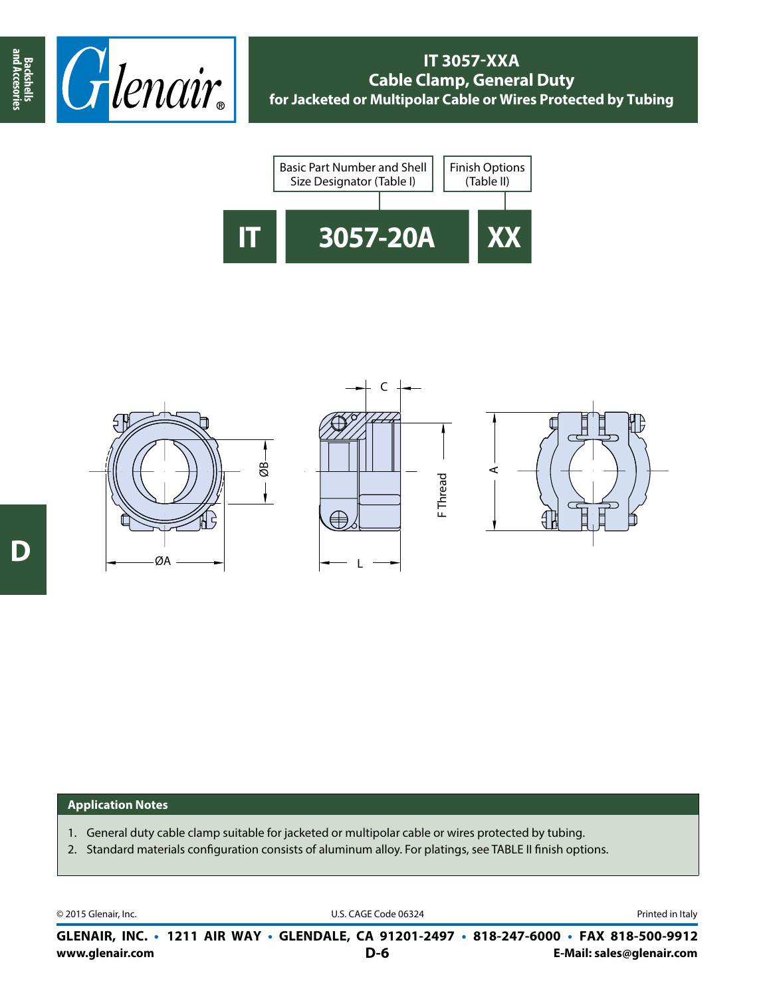





## **Application Notes**

- 1. General duty cable clamp suitable for jacketed or multipolar cable or wires protected by tubing.
- 2. Standard materials configuration consists of aluminum alloy. For platings, see TABLE II finish options.

© 2015 Glenair, Inc. **Discription Construction Construction Construction Construction Construction Construction Construction Construction Construction Construction Construction Construction Construction Construction Constr** 

**www.glenair.com E-Mail: sales@glenair.com GLENAIR, INC. • 1211 AIR WAY • GLENDALE, CA 91201-2497 • 818-247-6000 • FAX 818-500-9912 D-6**